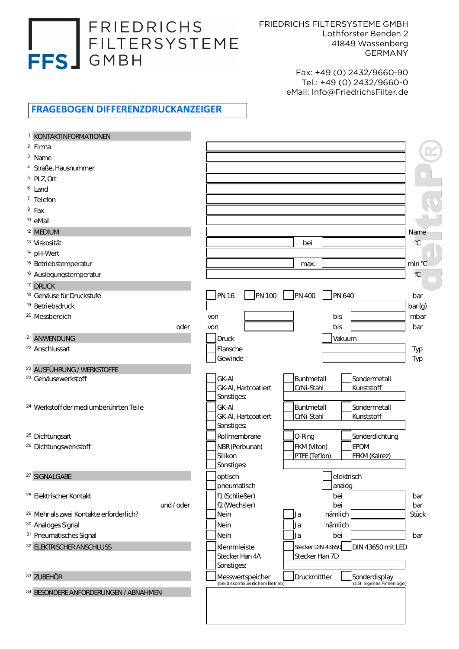## FRIEDRICHS FILTERSYSTEME FFS GMBH

FRIEDRICHS FILTERSYSTEME GMBH Lothforster Benden 2 41849 Wassenberg GERMANY

> Fax: +49 (0) 2432/9660-90 Tel.: +49 (0) 2432/9660-0 eMail: Info@FriedrichsFilter.de

## FRAGEBOGEN DIFFERENZDRUCKANZEIGER

| <b>KONTAKTINFORMATIONEN</b>                        |          |                                                       |                                |                                            |               |
|----------------------------------------------------|----------|-------------------------------------------------------|--------------------------------|--------------------------------------------|---------------|
| $2$ Firma                                          |          |                                                       |                                |                                            |               |
| $3$ Name                                           |          |                                                       |                                |                                            |               |
| <sup>4</sup> Straße, Hausnummer                    |          |                                                       |                                |                                            |               |
| $5$ PLZ, Ort                                       |          |                                                       |                                |                                            |               |
| <sup>6</sup> Land                                  |          |                                                       |                                |                                            |               |
| <sup>7</sup> Telefon                               |          |                                                       |                                |                                            |               |
| $9$ Fax                                            |          |                                                       |                                |                                            |               |
| <sup>10</sup> eMail                                |          |                                                       |                                |                                            |               |
| <sup>12</sup> MEDIUM                               |          |                                                       |                                |                                            | Name          |
| <sup>13</sup> Viskosität                           |          |                                                       | bei                            |                                            | $\mathcal{C}$ |
| <sup>14</sup> pH-Wert                              |          |                                                       |                                |                                            |               |
| <sup>15</sup> Betriebstemperatur                   |          |                                                       | max.                           |                                            | min °C        |
| <sup>16</sup> Auslegungstemperatur                 |          |                                                       |                                |                                            | °C            |
| <sup>17</sup> DRUCK                                |          |                                                       |                                |                                            |               |
| <sup>18</sup> Gehäuse für Druckstufe               |          | PN 16<br>PN 100                                       | <b>PN 400</b><br><b>PN 640</b> |                                            | bar           |
| <sup>19</sup> Betriebsdruck                        |          |                                                       |                                |                                            | bar(g)        |
| <sup>20</sup> Messbereich                          |          | von                                                   | bis                            |                                            | mbar          |
|                                                    | oder     | von                                                   | bis                            |                                            | bar           |
| <sup>21</sup> ANWENDUNG                            |          | Druck                                                 |                                | Vakuum                                     |               |
| <sup>22</sup> Anschlussart                         |          | Flansche                                              |                                |                                            | Typ           |
|                                                    |          | Gewinde                                               |                                |                                            | Typ           |
| <sup>23</sup> AUSFÜHRUNG / WERKSTOFFE              |          |                                                       |                                |                                            |               |
| <sup>23</sup> Gehäusewerkstoff                     |          | GK-AI                                                 | Buntmetall                     | Sondermetall                               |               |
|                                                    |          | GK-AI, Hartcoatiert                                   | CrNi-Stahl                     | Kunststoff                                 |               |
|                                                    |          | Sonstiges:                                            |                                |                                            |               |
| <sup>24</sup> Werkstoff der mediumberührten Teile  |          | <b>GK-AI</b>                                          | Buntmetall                     | Sondermetall                               |               |
|                                                    |          | GK-AI, Hartcoatiert                                   | CrNi-Stahl                     | Kunststoff                                 |               |
|                                                    |          | Sonstiges:                                            |                                |                                            |               |
| <sup>25</sup> Dichtungsart                         |          | Rollmembrane                                          | O-Ring                         | Sonderdichtung                             |               |
| <sup>26</sup> Dichtungswerkstoff                   |          | NBR (Perbunan)<br>Silikon                             | FKM (Viton)<br>PTFE (Teflon)   | <b>EPDM</b><br>FFKM (Kalrez)               |               |
|                                                    |          | Sonstiges:                                            |                                |                                            |               |
| <sup>27</sup> SIGNALGABE                           |          |                                                       |                                | elektrisch                                 |               |
|                                                    |          | optisch<br>pneumatisch                                | analog                         |                                            |               |
| <sup>28</sup> Elektrischer Kontakt                 |          | f1 (Schließer)                                        | bei                            |                                            | bar           |
|                                                    | und/oder | f2 (Wechsler)                                         | bei                            |                                            | bar           |
| <sup>29</sup> Mehr als zwei Kontakte erforderlich? |          | Nein                                                  | nämlich<br>Ja                  |                                            | <b>Stück</b>  |
| <sup>30</sup> Analoges Signal                      |          | Nein                                                  | nämlich<br>١a                  |                                            |               |
| 31 Pneumatisches Signal                            |          | Nein                                                  | bei<br>l a                     |                                            | bar           |
| 32 ELEKTRISCHER ANSCHLUSS                          |          | Klemmleiste                                           | Stecker DIN 43650              | DIN 43650 mit LED                          |               |
|                                                    |          | Stecker Han 4A                                        | Stecker Han 7D                 |                                            |               |
|                                                    |          | Sonstiges:                                            |                                |                                            |               |
| 33 ZUBEHÖR                                         |          | Messwertspeicher<br>(bei diskontinuierlichem Betrieb) | Druckmittler                   | Sonderdisplay<br>(z.B. eigenes Firmenlogo) |               |
| 34 BESONDERE ANFORDERUNGEN / ABNAHMEN              |          |                                                       |                                |                                            |               |
|                                                    |          |                                                       |                                |                                            |               |
|                                                    |          |                                                       |                                |                                            |               |
|                                                    |          |                                                       |                                |                                            |               |
|                                                    |          |                                                       |                                |                                            |               |